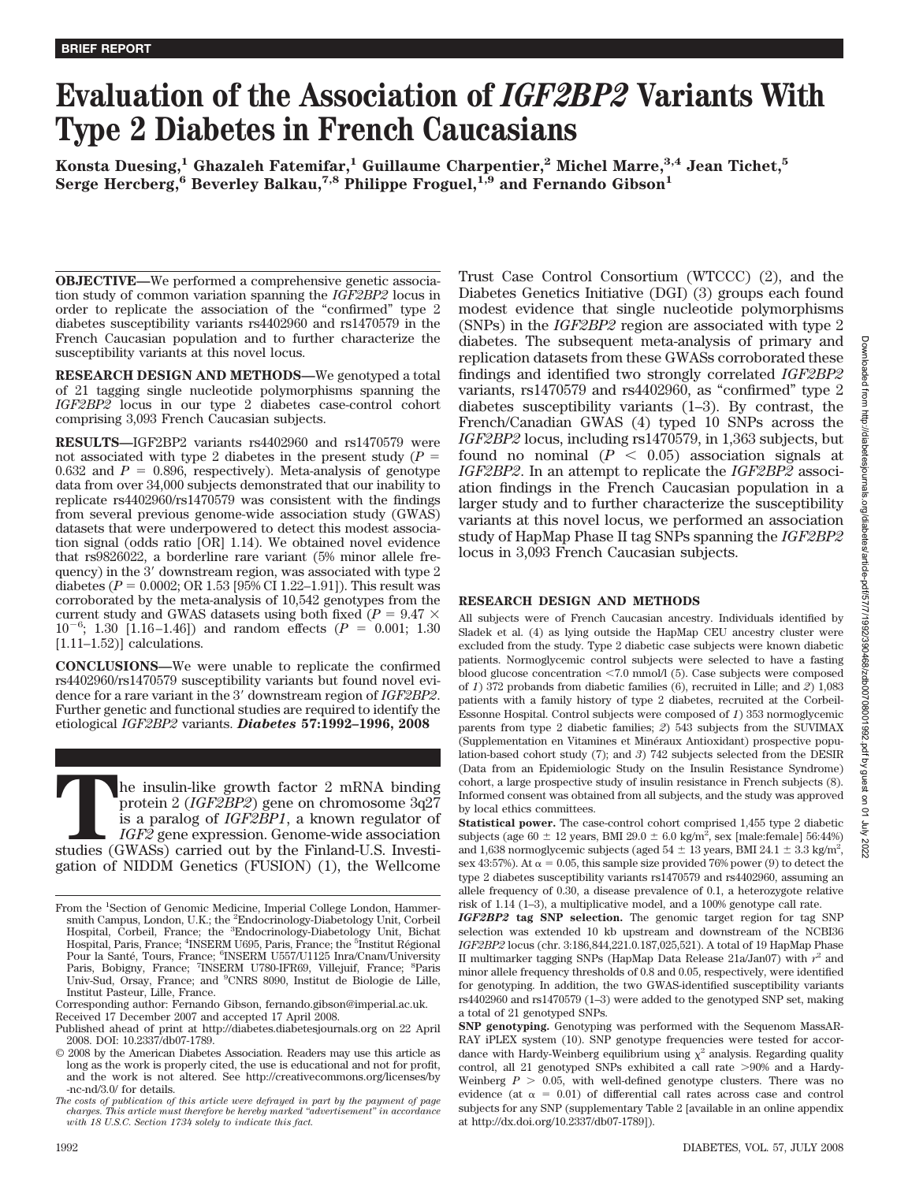# **Evaluation of the Association of** *IGF2BP2* **Variants With Type 2 Diabetes in French Caucasians**

**Konsta Duesing,1 Ghazaleh Fatemifar,1 Guillaume Charpentier,2 Michel Marre,3,4 Jean Tichet,5 Serge Hercberg,6 Beverley Balkau,7,8 Philippe Froguel,1,9 and Fernando Gibson1**

**OBJECTIVE—**We performed a comprehensive genetic association study of common variation spanning the *IGF2BP2* locus in order to replicate the association of the "confirmed" type 2 diabetes susceptibility variants rs4402960 and rs1470579 in the French Caucasian population and to further characterize the susceptibility variants at this novel locus.

**RESEARCH DESIGN AND METHODS—**We genotyped a total of 21 tagging single nucleotide polymorphisms spanning the *IGF2BP2* locus in our type 2 diabetes case-control cohort comprising 3,093 French Caucasian subjects.

**RESULTS—**IGF2BP2 variants rs4402960 and rs1470579 were not associated with type 2 diabetes in the present study  $(P =$ 0.632 and  $P = 0.896$ , respectively). Meta-analysis of genotype data from over 34,000 subjects demonstrated that our inability to replicate rs4402960/rs1470579 was consistent with the findings from several previous genome-wide association study (GWAS) datasets that were underpowered to detect this modest association signal (odds ratio [OR] 1.14). We obtained novel evidence that rs9826022, a borderline rare variant (5% minor allele frequency) in the 3' downstream region, was associated with type 2 diabetes ( $P = 0.0002$ ; OR 1.53 [95% CI 1.22–1.91]). This result was corroborated by the meta-analysis of 10,542 genotypes from the current study and GWAS datasets using both fixed ( $P = 9.47 \times$  $10^{-6}$ ; 1.30 [1.16–1.46]) and random effects ( $P = 0.001$ ; 1.30 [1.11–1.52)] calculations.

**CONCLUSIONS—**We were unable to replicate the confirmed rs4402960/rs1470579 susceptibility variants but found novel evidence for a rare variant in the 3' downstream region of *IGF2BP2*. Further genetic and functional studies are required to identify the etiological *IGF2BP2* variants. *Diabetes* **57:1992–1996, 2008**

The insulin-like growth factor 2 mRNA binding<br>protein 2 (*IGF2BP2*) gene on chromosome 3q27<br>is a paralog of *IGF2BP1*, a known regulator of<br>*IGF2* gene expression. Genome-wide association<br>studies (GWASs) carried out by the protein 2 (*IGF2BP2*) gene on chromosome 3q27 is a paralog of *IGF2BP1*, a known regulator of *IGF2* gene expression. Genome-wide association studies (GWASs) carried out by the Finland-U.S. Investigation of NIDDM Genetics (FUSION) (1), the Wellcome Trust Case Control Consortium (WTCCC) (2), and the Diabetes Genetics Initiative (DGI) (3) groups each found modest evidence that single nucleotide polymorphisms (SNPs) in the *IGF2BP2* region are associated with type 2 diabetes. The subsequent meta-analysis of primary and replication datasets from these GWASs corroborated these findings and identified two strongly correlated *IGF2BP2* variants, rs1470579 and rs4402960, as "confirmed" type 2 diabetes susceptibility variants (1–3). By contrast, the French/Canadian GWAS (4) typed 10 SNPs across the *IGF2BP2* locus, including rs1470579, in 1,363 subjects, but found no nominal  $(P < 0.05)$  association signals at *IGF2BP2*. In an attempt to replicate the *IGF2BP2* association findings in the French Caucasian population in a larger study and to further characterize the susceptibility variants at this novel locus, we performed an association study of HapMap Phase II tag SNPs spanning the *IGF2BP2* locus in 3,093 French Caucasian subjects.

## **RESEARCH DESIGN AND METHODS**

All subjects were of French Caucasian ancestry. Individuals identified by Sladek et al. (4) as lying outside the HapMap CEU ancestry cluster were excluded from the study. Type 2 diabetic case subjects were known diabetic patients. Normoglycemic control subjects were selected to have a fasting blood glucose concentration <7.0 mmol/l (5). Case subjects were composed of *1*) 372 probands from diabetic families (6), recruited in Lille; and *2*) 1,083 patients with a family history of type 2 diabetes, recruited at the Corbeil-Essonne Hospital. Control subjects were composed of *1*) 353 normoglycemic parents from type 2 diabetic families; *2*) 543 subjects from the SUVIMAX (Supplementation en Vitamines et Minéraux Antioxidant) prospective population-based cohort study (7); and *3*) 742 subjects selected from the DESIR (Data from an Epidemiologic Study on the Insulin Resistance Syndrome) cohort, a large prospective study of insulin resistance in French subjects (8). Informed consent was obtained from all subjects, and the study was approved by local ethics committees.

**Statistical power.** The case-control cohort comprised 1,455 type 2 diabetic subjects (age  $60 \pm 12$  years, BMI 29.0  $\pm 6.0$  kg/m<sup>2</sup>, sex [male:female] 56:44%) and 1,638 normoglycemic subjects (aged  $54 \pm 13$  years, BMI 24.1  $\pm$  3.3 kg/m<sup>2</sup>, sex 43:57%). At  $\alpha = 0.05$ , this sample size provided 76% power (9) to detect the type 2 diabetes susceptibility variants rs1470579 and rs4402960, assuming an allele frequency of 0.30, a disease prevalence of 0.1, a heterozygote relative risk of 1.14 (1–3), a multiplicative model, and a 100% genotype call rate.

*IGF2BP2* **tag SNP selection.** The genomic target region for tag SNP selection was extended 10 kb upstream and downstream of the NCBI36 *IGF2BP2* locus (chr. 3:186,844,221.0.187,025,521). A total of 19 HapMap Phase II multimarker tagging SNPs (HapMap Data Release 21a/Jan07) with *r*<sup>2</sup> and minor allele frequency thresholds of 0.8 and 0.05, respectively, were identified for genotyping. In addition, the two GWAS-identified susceptibility variants rs4402960 and rs1470579 (1–3) were added to the genotyped SNP set, making a total of 21 genotyped SNPs.

From the <sup>1</sup>Section of Genomic Medicine, Imperial College London, Hammersmith Campus, London, U.K.; the <sup>2</sup>Endocrinology-Diabetology Unit, Corbeil Hospital, Corbeil, France; the <sup>3</sup>Endocrinology-Diabetology Unit, Bichat Hospital, Paris, France; <sup>4</sup>INSERM U695, Paris, France; the <sup>5</sup>Institut Régional Pour la Santé, Tours, France; <sup>6</sup>INSERM U557/U1125 Inra/Cnam/University Paris, Bobigny, France; <sup>7</sup>INSERM U780-IFR69, Villejuif, France; <sup>8</sup>Paris Univ-Sud, Orsay, France; and <sup>9</sup> CNRS 8090, Institut de Biologie de Lille, Institut Pasteur, Lille, France.

Corresponding author: Fernando Gibson, fernando.gibson@imperial.ac.uk.

Received 17 December 2007 and accepted 17 April 2008.

Published ahead of print at http://diabetes.diabetesjournals.org on 22 April 2008. DOI: 10.2337/db07-1789.

<sup>© 2008</sup> by the American Diabetes Association. Readers may use this article as long as the work is properly cited, the use is educational and not for profit, and the work is not altered. See http://creativecommons.org/licenses/by -nc-nd/3.0/ for details.

*The costs of publication of this article were defrayed in part by the payment of page charges. This article must therefore be hereby marked "advertisement" in accordance with 18 U.S.C. Section 1734 solely to indicate this fact.*

**SNP genotyping.** Genotyping was performed with the Sequenom MassAR-RAY iPLEX system (10). SNP genotype frequencies were tested for accordance with Hardy-Weinberg equilibrium using  $\chi^2$  analysis. Regarding quality control, all 21 genotyped SNPs exhibited a call rate  $>90\%$  and a Hardy-Weinberg  $P > 0.05$ , with well-defined genotype clusters. There was no evidence (at  $\alpha = 0.01$ ) of differential call rates across case and control subjects for any SNP (supplementary Table 2 [available in an online appendix at http://dx.doi.org/10.2337/db07-1789]).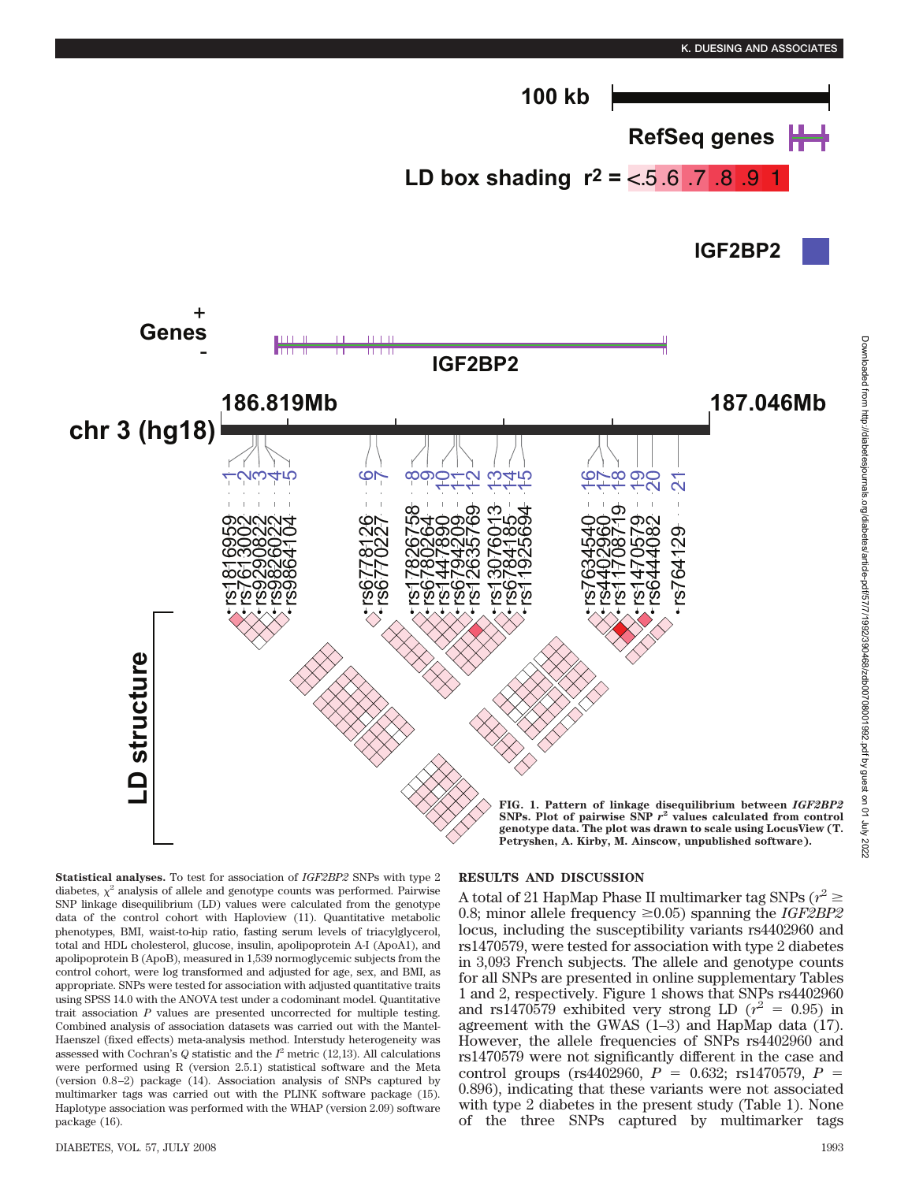

**Statistical analyses.** To test for association of *IGF2BP2* SNPs with type 2 diabetes,  $\chi^2$  analysis of allele and genotype counts was performed. Pairwise SNP linkage disequilibrium (LD) values were calculated from the genotype data of the control cohort with Haploview (11). Quantitative metabolic phenotypes, BMI, waist-to-hip ratio, fasting serum levels of triacylglycerol, total and HDL cholesterol, glucose, insulin, apolipoprotein A-I (ApoA1), and apolipoprotein B (ApoB), measured in 1,539 normoglycemic subjects from the control cohort, were log transformed and adjusted for age, sex, and BMI, as appropriate. SNPs were tested for association with adjusted quantitative traits using SPSS 14.0 with the ANOVA test under a codominant model. Quantitative trait association *P* values are presented uncorrected for multiple testing. Combined analysis of association datasets was carried out with the Mantel-Haenszel (fixed effects) meta-analysis method. Interstudy heterogeneity was assessed with Cochran's  $Q$  statistic and the  $I^2$  metric (12,13). All calculations were performed using R (version 2.5.1) statistical software and the Meta (version 0.8–2) package (14). Association analysis of SNPs captured by multimarker tags was carried out with the PLINK software package (15). Haplotype association was performed with the WHAP (version 2.09) software package (16).

#### DIABETES, VOL. 57, JULY 2008 1993

**LD structure**

D structure

# **RESULTS AND DISCUSSION**

A total of 21 HapMap Phase II multimarker tag SNPs ( $r^2 \ge$ 0.8; minor allele frequency  $\geq 0.05$ ) spanning the *IGF2BP2* locus, including the susceptibility variants rs4402960 and rs1470579, were tested for association with type 2 diabetes in 3,093 French subjects. The allele and genotype counts for all SNPs are presented in online supplementary Tables 1 and 2, respectively. Figure 1 shows that SNPs rs4402960 and rs1470579 exhibited very strong LD  $(r^2 = 0.95)$  in agreement with the GWAS  $(1-3)$  and HapMap data  $(17)$ . However, the allele frequencies of SNPs rs4402960 and rs1470579 were not significantly different in the case and control groups (rs4402960,  $P = 0.632$ ; rs1470579,  $P =$ 0.896), indicating that these variants were not associated with type 2 diabetes in the present study (Table 1). None of the three SNPs captured by multimarker tags

**FIG. 1. Pattern of linkage disequilibrium between** *IGF2BP2* **SNPs. Plot of pairwise SNP** *r***<sup>2</sup> values calculated from control genotype data. The plot was drawn to scale using LocusView (T. Petryshen, A. Kirby, M. Ainscow, unpublished software).**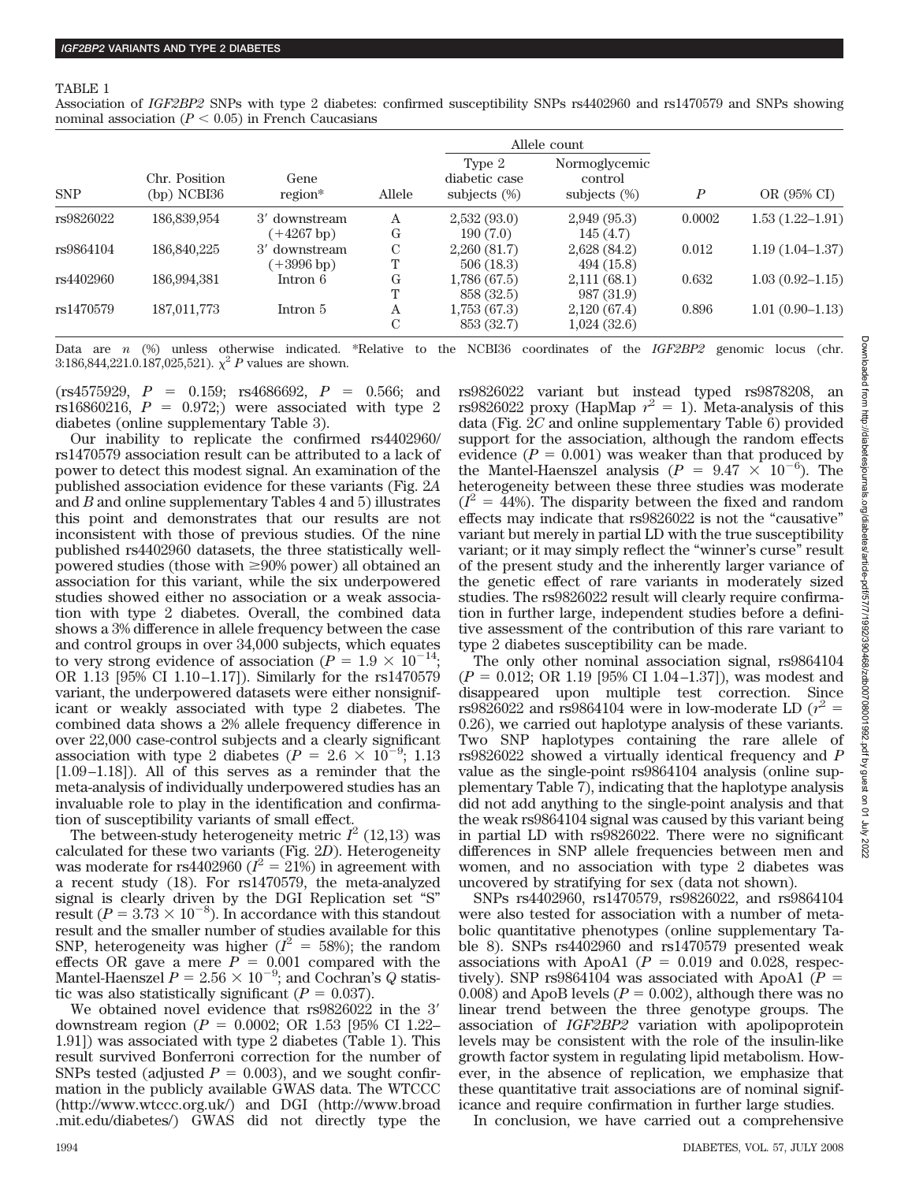#### TABLE 1

Association of *IGF2BP2* SNPs with type 2 diabetes: confirmed susceptibility SNPs rs4402960 and rs1470579 and SNPs showing nominal association  $(P < 0.05)$  in French Caucasians

|            |                              |                 |               |                                            | Allele count                                |                  |                     |
|------------|------------------------------|-----------------|---------------|--------------------------------------------|---------------------------------------------|------------------|---------------------|
| <b>SNP</b> | Chr. Position<br>(bp) NCBI36 | Gene<br>region* | Allele        | Type 2<br>diabetic case<br>subjects $(\%)$ | Normoglycemic<br>control<br>subjects $(\%)$ | $\boldsymbol{P}$ | OR (95% CI)         |
| rs9826022  | 186,839,954                  | 3' downstream   | Α             | 2,532(93.0)                                | 2,949(95.3)                                 | 0.0002           | $1.53(1.22 - 1.91)$ |
|            |                              | $(+4267 b p)$   | G             | 190(7.0)                                   | 145(4.7)                                    |                  |                     |
| rs9864104  | 186,840,225                  | 3' downstream   | $\mathcal{C}$ | 2,260(81.7)                                | 2,628(84.2)                                 | 0.012            | $1.19(1.04-1.37)$   |
|            |                              | $(+3996 b)$     | Т             | 506(18.3)                                  | 494(15.8)                                   |                  |                     |
| rs4402960  | 186,994,381                  | Intron 6        | G             | 1,786(67.5)                                | 2,111(68.1)                                 | 0.632            | $1.03(0.92 - 1.15)$ |
|            |                              |                 | T             | 858 (32.5)                                 | 987 (31.9)                                  |                  |                     |
| rs1470579  | 187,011,773                  | Intron 5        | Α             | 1,753(67.3)                                | 2,120(67.4)                                 | 0.896            | $1.01(0.90-1.13)$   |
|            |                              |                 | C             | 853 (32.7)                                 | 1,024(32.6)                                 |                  |                     |

Data are *n* (%) unless otherwise indicated. \*Relative to the NCBI36 coordinates of the *IGF2BP2* genomic locus (chr. 3:186,844,221.0.187,025,521).  $\chi^2 P$  values are shown.

 $(rs4575929, P = 0.159; rs4686692, P = 0.566; and$ rs16860216,  $P = 0.972$ ; were associated with type 2 diabetes (online supplementary Table 3).

Our inability to replicate the confirmed rs4402960/ rs1470579 association result can be attributed to a lack of power to detect this modest signal. An examination of the published association evidence for these variants (Fig. 2*A* and *B* and online supplementary Tables 4 and 5) illustrates this point and demonstrates that our results are not inconsistent with those of previous studies. Of the nine published rs4402960 datasets, the three statistically wellpowered studies (those with  $\geq 90\%$  power) all obtained an association for this variant, while the six underpowered studies showed either no association or a weak association with type 2 diabetes. Overall, the combined data shows a 3% difference in allele frequency between the case and control groups in over 34,000 subjects, which equates to very strong evidence of association ( $P = 1.9 \times 10^{-14}$ ; OR 1.13 [95% CI 1.10–1.17]). Similarly for the rs1470579 variant, the underpowered datasets were either nonsignificant or weakly associated with type 2 diabetes. The combined data shows a 2% allele frequency difference in over 22,000 case-control subjects and a clearly significant association with type 2 diabetes ( $P = 2.6 \times 10^{-9}$ ; 1.13 [1.09–1.18]). All of this serves as a reminder that the meta-analysis of individually underpowered studies has an invaluable role to play in the identification and confirmation of susceptibility variants of small effect.

The between-study heterogeneity metric  $I^2$  (12,13) was calculated for these two variants (Fig. 2*D*). Heterogeneity was moderate for rs4402960 ( $I^2 = 21\%$ ) in agreement with a recent study (18). For rs1470579, the meta-analyzed signal is clearly driven by the DGI Replication set "S" result ( $P = 3.73 \times 10^{-8}$ ). In accordance with this standout result and the smaller number of studies available for this SNP, heterogeneity was higher  $(I^2 = 58\%)$ ; the random effects OR gave a mere  $P = 0.001$  compared with the Mantel-Haenszel  $P = 2.56 \times 10^{-9}$ ; and Cochran's Q statistic was also statistically significant ( $P = 0.037$ ).

We obtained novel evidence that rs9826022 in the 3' downstream region ( $P = 0.0002$ ; OR 1.53 [95% CI 1.22– 1.91]) was associated with type 2 diabetes (Table 1). This result survived Bonferroni correction for the number of SNPs tested (adjusted  $P = 0.003$ ), and we sought confirmation in the publicly available GWAS data. The WTCCC (http://www.wtccc.org.uk/) and DGI (http://www.broad .mit.edu/diabetes/) GWAS did not directly type the

rs9826022 variant but instead typed rs9878208, an rs9826022 proxy (HapMap  $r^2 = 1$ ). Meta-analysis of this data (Fig. 2*C* and online supplementary Table 6) provided support for the association, although the random effects evidence  $(P = 0.001)$  was weaker than that produced by the Mantel-Haenszel analysis  $(P = 9.47 \times 10^{-6})$ . The heterogeneity between these three studies was moderate  $(I^2 = 44\%)$ . The disparity between the fixed and random effects may indicate that rs9826022 is not the "causative" variant but merely in partial LD with the true susceptibility variant; or it may simply reflect the "winner's curse" result of the present study and the inherently larger variance of the genetic effect of rare variants in moderately sized studies. The rs9826022 result will clearly require confirmation in further large, independent studies before a definitive assessment of the contribution of this rare variant to type 2 diabetes susceptibility can be made.

The only other nominal association signal, rs9864104  $(P = 0.012$ ; OR 1.19 [95% CI 1.04–1.37]), was modest and disappeared upon multiple test correction. Since rs9826022 and rs9864104 were in low-moderate LD  $(r^2 =$ 0.26), we carried out haplotype analysis of these variants. Two SNP haplotypes containing the rare allele of rs9826022 showed a virtually identical frequency and *P* value as the single-point rs9864104 analysis (online supplementary Table 7), indicating that the haplotype analysis did not add anything to the single-point analysis and that the weak rs9864104 signal was caused by this variant being in partial LD with rs9826022. There were no significant differences in SNP allele frequencies between men and women, and no association with type 2 diabetes was uncovered by stratifying for sex (data not shown).

SNPs rs4402960, rs1470579, rs9826022, and rs9864104 were also tested for association with a number of metabolic quantitative phenotypes (online supplementary Table 8). SNPs rs4402960 and rs1470579 presented weak associations with ApoA1 ( $P = 0.019$  and 0.028, respectively). SNP rs9864104 was associated with ApoA1 ( $P =$ 0.008) and ApoB levels  $(P = 0.002)$ , although there was no linear trend between the three genotype groups. The association of *IGF2BP2* variation with apolipoprotein levels may be consistent with the role of the insulin-like growth factor system in regulating lipid metabolism. However, in the absence of replication, we emphasize that these quantitative trait associations are of nominal significance and require confirmation in further large studies.

In conclusion, we have carried out a comprehensive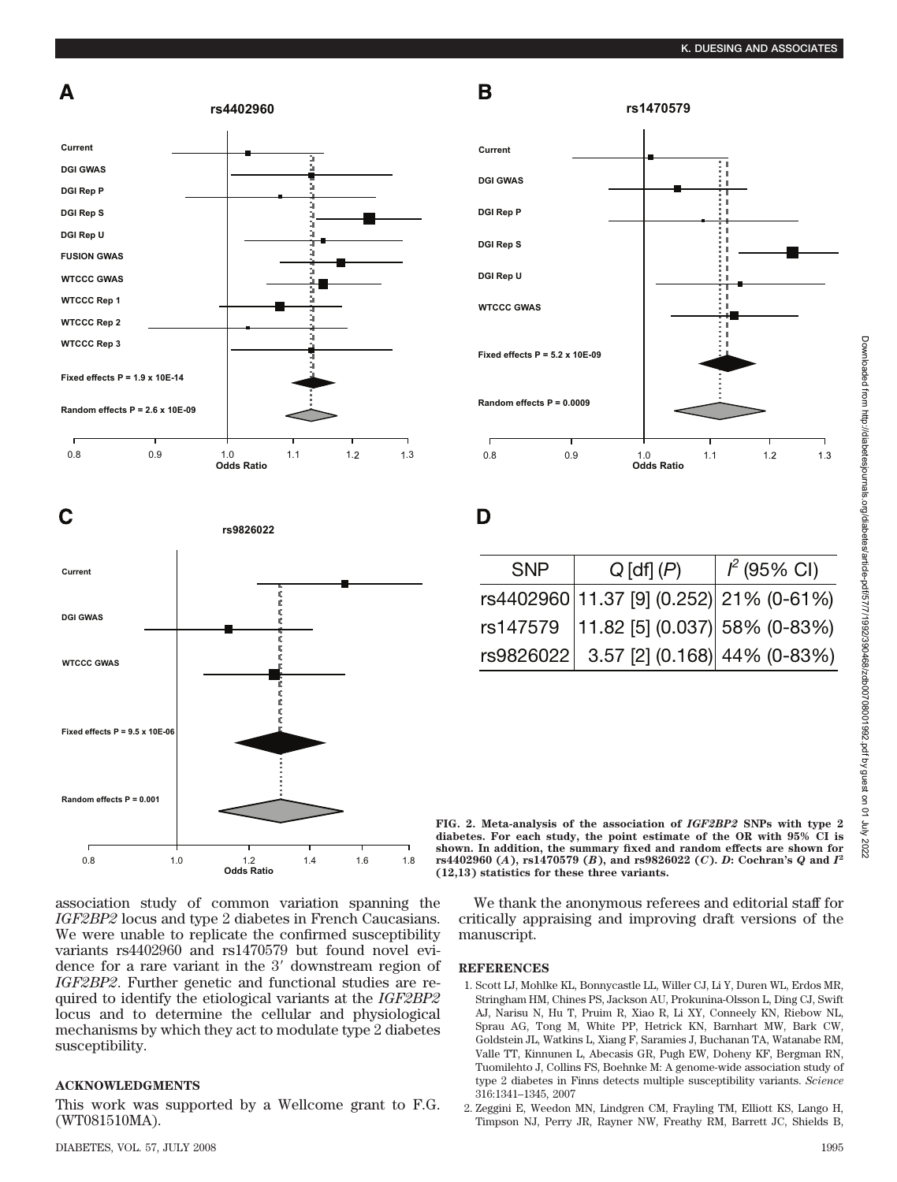









association study of common variation spanning the *IGF2BP2* locus and type 2 diabetes in French Caucasians. We were unable to replicate the confirmed susceptibility variants rs4402960 and rs1470579 but found novel evidence for a rare variant in the 3' downstream region of *IGF2BP2*. Further genetic and functional studies are required to identify the etiological variants at the *IGF2BP2* locus and to determine the cellular and physiological mechanisms by which they act to modulate type 2 diabetes susceptibility.

# **ACKNOWLEDGMENTS**

This work was supported by a Wellcome grant to F.G. (WT081510MA).



D

| <b>SNP</b> | $Q$ [df] $(P)$                           | $I^2$ (95% CI) |
|------------|------------------------------------------|----------------|
|            | rs4402960 11.37 [9] (0.252) 21% (0-61%)  |                |
|            | rs147579   11.82 [5] (0.037) 58% (0-83%) |                |
|            | rs9826022 3.57 [2] (0.168) 44% (0-83%)   |                |

**FIG. 2. Meta-analysis of the association of** *IGF2BP2* **SNPs with type 2 diabetes. For each study, the point estimate of the OR with 95% CI is shown. In addition, the summary fixed and random effects are shown for rs4402960 (***A***), rs1470579 (***B***), and rs9826022 (***C***).** *D***: Cochran's** *Q* **and** *I***<sup>2</sup> (12,13) statistics for these three variants.**

We thank the anonymous referees and editorial staff for critically appraising and improving draft versions of the manuscript.

### **REFERENCES**

- 1. Scott LJ, Mohlke KL, Bonnycastle LL, Willer CJ, Li Y, Duren WL, Erdos MR, Stringham HM, Chines PS, Jackson AU, Prokunina-Olsson L, Ding CJ, Swift AJ, Narisu N, Hu T, Pruim R, Xiao R, Li XY, Conneely KN, Riebow NL, Sprau AG, Tong M, White PP, Hetrick KN, Barnhart MW, Bark CW, Goldstein JL, Watkins L, Xiang F, Saramies J, Buchanan TA, Watanabe RM, Valle TT, Kinnunen L, Abecasis GR, Pugh EW, Doheny KF, Bergman RN, Tuomilehto J, Collins FS, Boehnke M: A genome-wide association study of type 2 diabetes in Finns detects multiple susceptibility variants. *Science* 316:1341–1345, 2007
- 2. Zeggini E, Weedon MN, Lindgren CM, Frayling TM, Elliott KS, Lango H, Timpson NJ, Perry JR, Rayner NW, Freathy RM, Barrett JC, Shields B,